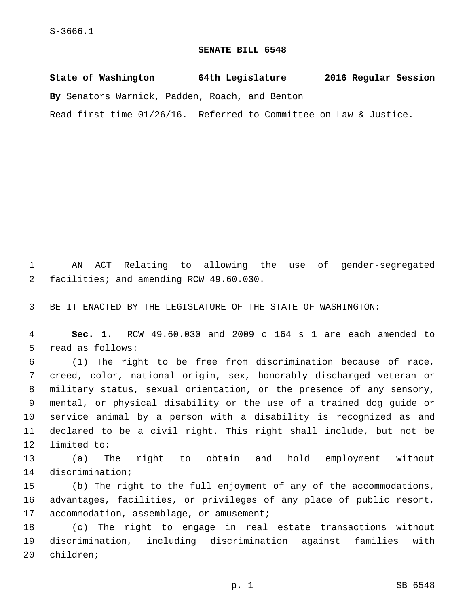## **SENATE BILL 6548**

**State of Washington 64th Legislature 2016 Regular Session By** Senators Warnick, Padden, Roach, and Benton

Read first time 01/26/16. Referred to Committee on Law & Justice.

1 AN ACT Relating to allowing the use of gender-segregated facilities; and amending RCW 49.60.030.2

3 BE IT ENACTED BY THE LEGISLATURE OF THE STATE OF WASHINGTON:

4 **Sec. 1.** RCW 49.60.030 and 2009 c 164 s 1 are each amended to 5 read as follows:

 (1) The right to be free from discrimination because of race, creed, color, national origin, sex, honorably discharged veteran or military status, sexual orientation, or the presence of any sensory, mental, or physical disability or the use of a trained dog guide or service animal by a person with a disability is recognized as and declared to be a civil right. This right shall include, but not be 12 limited to:

13 (a) The right to obtain and hold employment without 14 discrimination;

15 (b) The right to the full enjoyment of any of the accommodations, 16 advantages, facilities, or privileges of any place of public resort, 17 accommodation, assemblage, or amusement;

18 (c) The right to engage in real estate transactions without 19 discrimination, including discrimination against families with 20 children;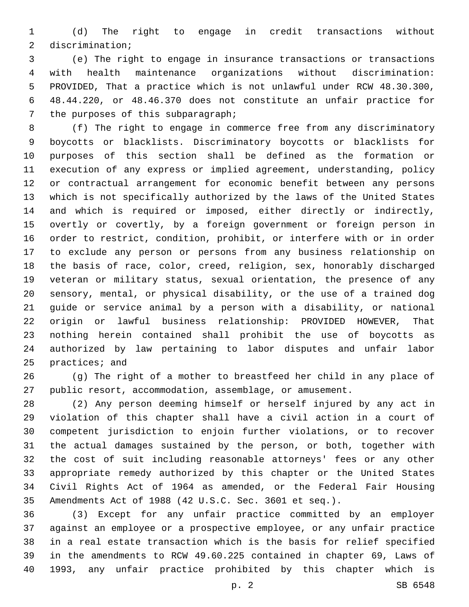(d) The right to engage in credit transactions without 2 discrimination;

 (e) The right to engage in insurance transactions or transactions with health maintenance organizations without discrimination: PROVIDED, That a practice which is not unlawful under RCW 48.30.300, 48.44.220, or 48.46.370 does not constitute an unfair practice for 7 the purposes of this subparagraph;

 (f) The right to engage in commerce free from any discriminatory boycotts or blacklists. Discriminatory boycotts or blacklists for purposes of this section shall be defined as the formation or execution of any express or implied agreement, understanding, policy or contractual arrangement for economic benefit between any persons which is not specifically authorized by the laws of the United States and which is required or imposed, either directly or indirectly, overtly or covertly, by a foreign government or foreign person in order to restrict, condition, prohibit, or interfere with or in order to exclude any person or persons from any business relationship on the basis of race, color, creed, religion, sex, honorably discharged veteran or military status, sexual orientation, the presence of any sensory, mental, or physical disability, or the use of a trained dog guide or service animal by a person with a disability, or national origin or lawful business relationship: PROVIDED HOWEVER, That nothing herein contained shall prohibit the use of boycotts as authorized by law pertaining to labor disputes and unfair labor 25 practices; and

 (g) The right of a mother to breastfeed her child in any place of public resort, accommodation, assemblage, or amusement.

 (2) Any person deeming himself or herself injured by any act in violation of this chapter shall have a civil action in a court of competent jurisdiction to enjoin further violations, or to recover the actual damages sustained by the person, or both, together with the cost of suit including reasonable attorneys' fees or any other appropriate remedy authorized by this chapter or the United States Civil Rights Act of 1964 as amended, or the Federal Fair Housing Amendments Act of 1988 (42 U.S.C. Sec. 3601 et seq.).

 (3) Except for any unfair practice committed by an employer against an employee or a prospective employee, or any unfair practice in a real estate transaction which is the basis for relief specified in the amendments to RCW 49.60.225 contained in chapter 69, Laws of 1993, any unfair practice prohibited by this chapter which is